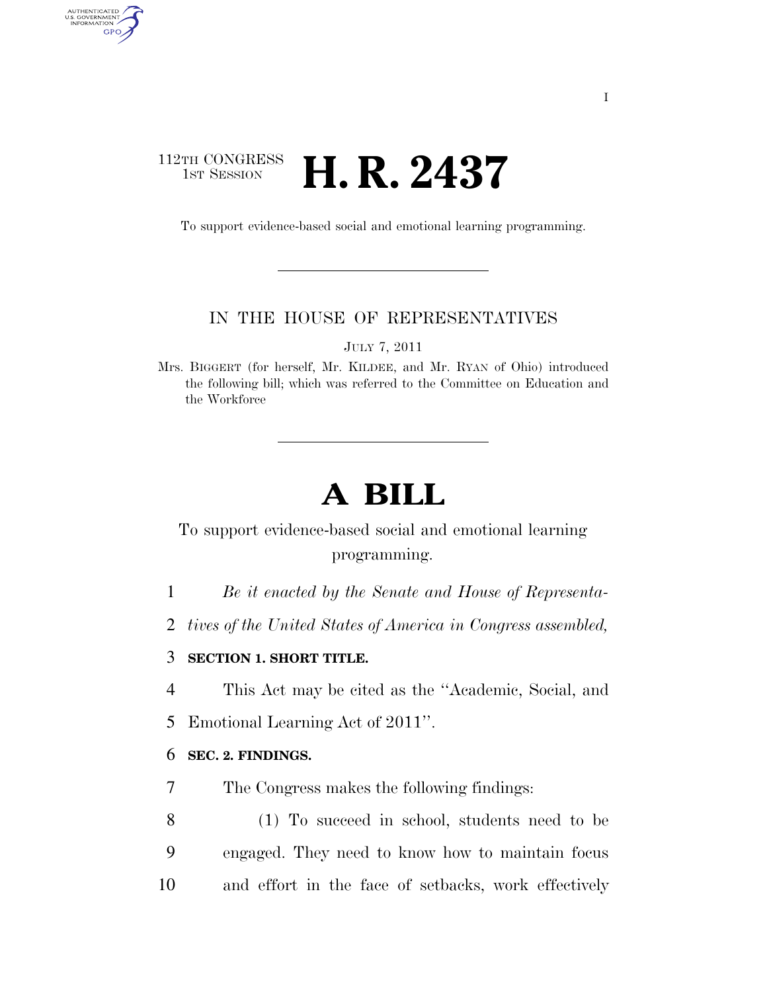## 112TH CONGRESS <sup>TH CONGRESS</sup> **H. R. 2437**

AUTHENTICATED<br>U.S. GOVERNMENT<br>INFORMATION GPO

To support evidence-based social and emotional learning programming.

### IN THE HOUSE OF REPRESENTATIVES

JULY 7, 2011

Mrs. BIGGERT (for herself, Mr. KILDEE, and Mr. RYAN of Ohio) introduced the following bill; which was referred to the Committee on Education and the Workforce

# **A BILL**

## To support evidence-based social and emotional learning programming.

1 *Be it enacted by the Senate and House of Representa-*

2 *tives of the United States of America in Congress assembled,* 

#### 3 **SECTION 1. SHORT TITLE.**

4 This Act may be cited as the ''Academic, Social, and

5 Emotional Learning Act of 2011''.

#### 6 **SEC. 2. FINDINGS.**

7 The Congress makes the following findings:

8 (1) To succeed in school, students need to be 9 engaged. They need to know how to maintain focus 10 and effort in the face of setbacks, work effectively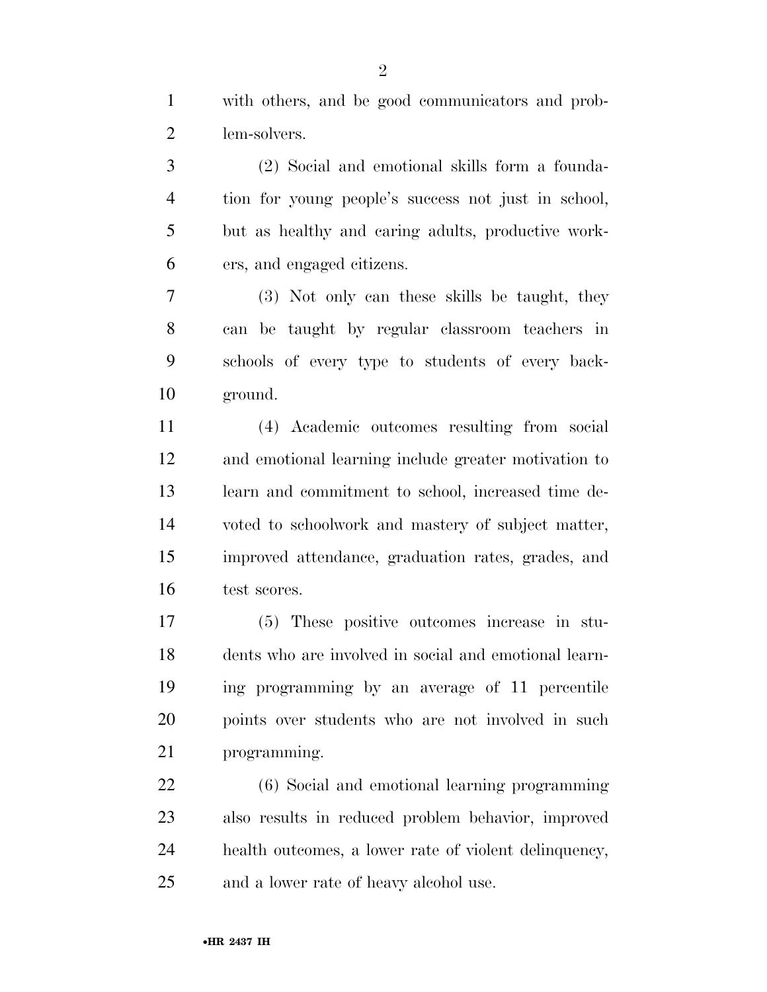with others, and be good communicators and prob-lem-solvers.

 (2) Social and emotional skills form a founda- tion for young people's success not just in school, but as healthy and caring adults, productive work-ers, and engaged citizens.

 (3) Not only can these skills be taught, they can be taught by regular classroom teachers in schools of every type to students of every back-ground.

 (4) Academic outcomes resulting from social and emotional learning include greater motivation to learn and commitment to school, increased time de- voted to schoolwork and mastery of subject matter, improved attendance, graduation rates, grades, and test scores.

 (5) These positive outcomes increase in stu- dents who are involved in social and emotional learn- ing programming by an average of 11 percentile points over students who are not involved in such programming.

 (6) Social and emotional learning programming also results in reduced problem behavior, improved health outcomes, a lower rate of violent delinquency, and a lower rate of heavy alcohol use.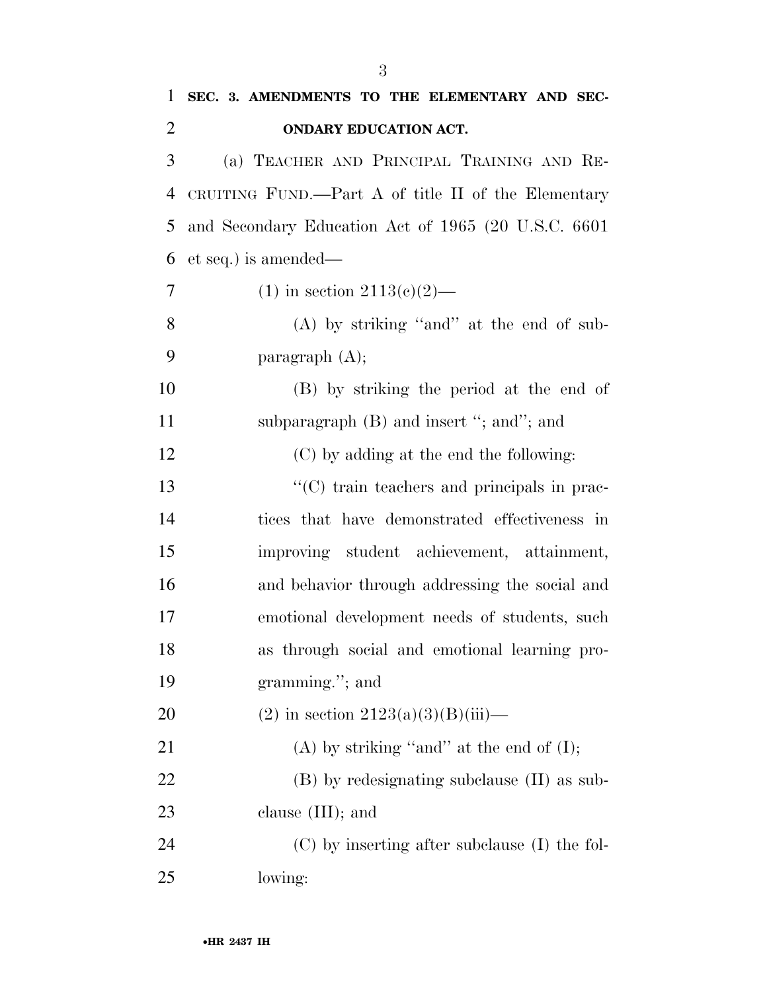| $\mathbf{1}$   | SEC. 3. AMENDMENTS TO THE ELEMENTARY AND SEC-           |
|----------------|---------------------------------------------------------|
| $\overline{2}$ | ONDARY EDUCATION ACT.                                   |
| 3              | (a) TEACHER AND PRINCIPAL TRAINING AND RE-              |
| 4              | CRUITING FUND.—Part A of title II of the Elementary     |
| 5              | and Secondary Education Act of 1965 (20 U.S.C. 6601)    |
| 6              | et seq.) is amended—                                    |
| 7              | (1) in section $2113(c)(2)$ —                           |
| 8              | $(A)$ by striking "and" at the end of sub-              |
| 9              | paragraph $(A)$ ;                                       |
| 10             | (B) by striking the period at the end of                |
| 11             | subparagraph (B) and insert "; and"; and                |
| 12             | (C) by adding at the end the following:                 |
| 13             | $\cdot\cdot$ (C) train teachers and principals in prac- |
| 14             | tices that have demonstrated effectiveness in           |
| 15             | improving student achievement, attainment,              |
| 16             | and behavior through addressing the social and          |
| 17             | emotional development needs of students, such           |
| 18             | as through social and emotional learning pro-           |
| 19             | gramming."; and                                         |
| <b>20</b>      | (2) in section $2123(a)(3)(B)(iii)$ —                   |
| 21             | (A) by striking "and" at the end of $(I)$ ;             |
| <u>22</u>      | (B) by redesignating subclause (II) as sub-             |
| 23             | clause $(III)$ ; and                                    |
| 24             | $(C)$ by inserting after subclause (I) the fol-         |
| 25             | lowing:                                                 |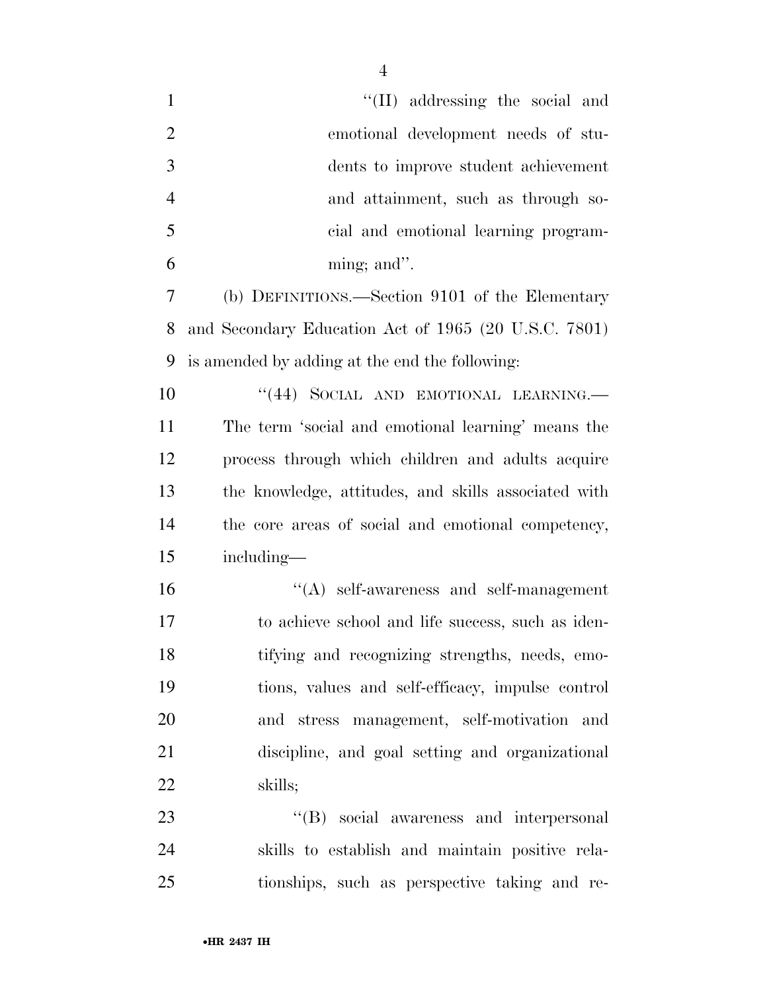| $\mathbf{1}$   | "(II) addressing the social and                      |
|----------------|------------------------------------------------------|
| $\overline{2}$ | emotional development needs of stu-                  |
| 3              | dents to improve student achievement                 |
| $\overline{4}$ | and attainment, such as through so-                  |
| 5              | cial and emotional learning program-                 |
| 6              | ming; and".                                          |
| 7              | (b) DEFINITIONS.—Section 9101 of the Elementary      |
| 8              | and Secondary Education Act of 1965 (20 U.S.C. 7801) |
| 9              | is amended by adding at the end the following:       |
| 10             | "(44) SOCIAL AND EMOTIONAL LEARNING.                 |
| 11             | The term 'social and emotional learning' means the   |
| 12             | process through which children and adults acquire    |
| 13             | the knowledge, attitudes, and skills associated with |
| 14             | the core areas of social and emotional competency,   |
| 15             | including—                                           |
| 16             | $\lq\lq$ self-awareness and self-management          |
| 17             | to achieve school and life success, such as iden-    |
| 18             | tifying and recognizing strengths, needs, emo-       |
| 19             | tions, values and self-efficacy, impulse control     |
| 20             | and stress management, self-motivation and           |
| 21             | discipline, and goal setting and organizational      |
| 22             | skills;                                              |
| 23             | "(B) social awareness and interpersonal              |
| 24             | skills to establish and maintain positive rela-      |
| 25             | tionships, such as perspective taking and re-        |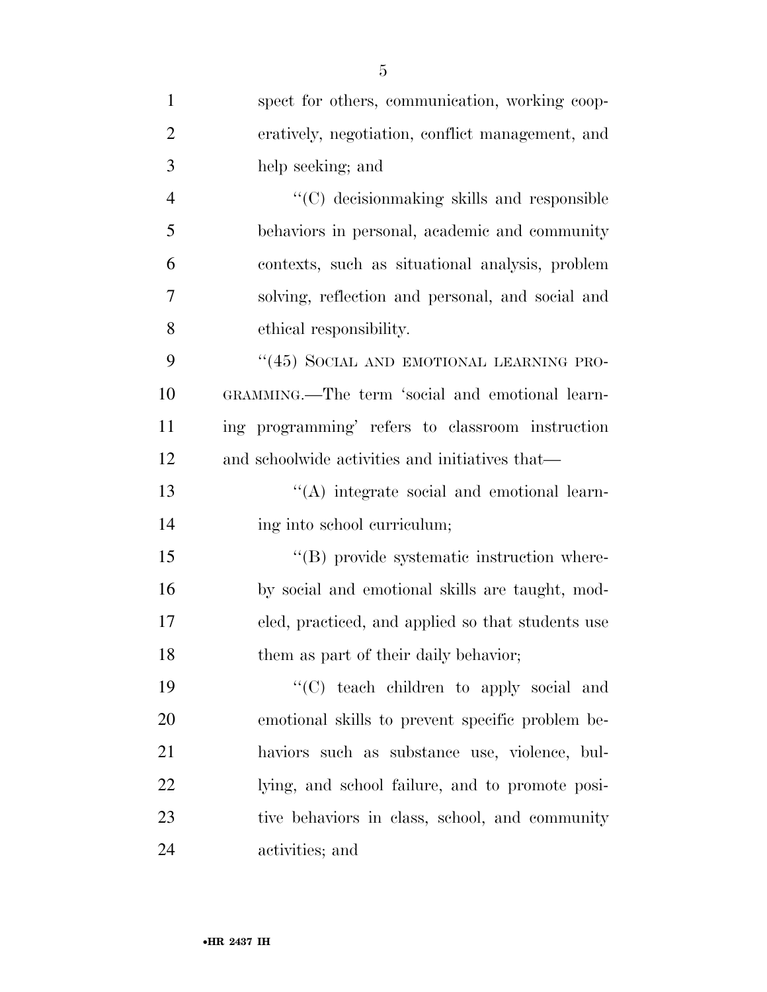| $\mathbf{1}$   | spect for others, communication, working coop-    |
|----------------|---------------------------------------------------|
| $\overline{2}$ | eratively, negotiation, conflict management, and  |
| 3              | help seeking; and                                 |
| $\overline{4}$ | "(C) decision making skills and responsible       |
| 5              | behaviors in personal, academic and community     |
| 6              | contexts, such as situational analysis, problem   |
| 7              | solving, reflection and personal, and social and  |
| 8              | ethical responsibility.                           |
| 9              | "(45) SOCIAL AND EMOTIONAL LEARNING PRO-          |
| 10             | GRAMMING.—The term 'social and emotional learn-   |
| 11             | ing programming' refers to classroom instruction  |
| 12             | and schoolwide activities and initiatives that—   |
| 13             | $\lq\lq$ integrate social and emotional learn-    |
| 14             | ing into school curriculum;                       |
| 15             | "(B) provide systematic instruction where-        |
| 16             | by social and emotional skills are taught, mod-   |
| 17             | eled, practiced, and applied so that students use |
| 18             | them as part of their daily behavior;             |
| 19             | $"$ (C) teach children to apply social and        |
| 20             | emotional skills to prevent specific problem be-  |
| 21             | haviors such as substance use, violence, bul-     |
| 22             | lying, and school failure, and to promote posi-   |
| 23             | tive behaviors in class, school, and community    |
| 24             | activities; and                                   |